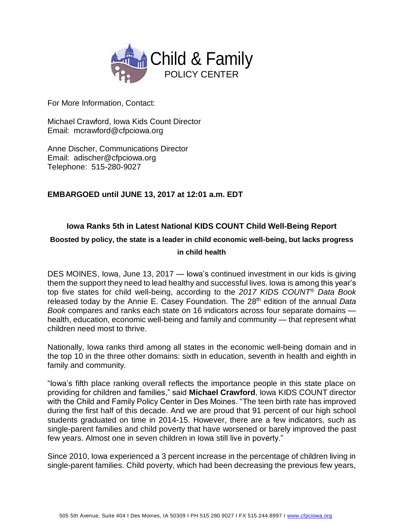

For More Information, Contact:

Michael Crawford, Iowa Kids Count Director Email: mcrawford@cfpciowa.org

Anne Discher, Communications Director Email: adischer@cfpciowa.org Telephone: 515-280-9027

# **EMBARGOED until JUNE 13, 2017 at 12:01 a.m. EDT**

# **Iowa Ranks 5th in Latest National KIDS COUNT Child Well-Being Report**

### **Boosted by policy, the state is a leader in child economic well-being, but lacks progress in child health**

DES MOINES, Iowa, June 13, 2017 — Iowa's continued investment in our kids is giving them the support they need to lead healthy and successful lives. Iowa is among this year's top five states for child well-being, according to the *2017 KIDS COUNT*® *Data Book* released today by the Annie E. Casey Foundation. The 28<sup>th</sup> edition of the annual Data *Book* compares and ranks each state on 16 indicators across four separate domains health, education, economic well-being and family and community — that represent what children need most to thrive.

Nationally, Iowa ranks third among all states in the economic well-being domain and in the top 10 in the three other domains: sixth in education, seventh in health and eighth in family and community.

"Iowa's fifth place ranking overall reflects the importance people in this state place on providing for children and families," said **Michael Crawford**, Iowa KIDS COUNT director with the Child and Family Policy Center in Des Moines. "The teen birth rate has improved during the first half of this decade. And we are proud that 91 percent of our high school students graduated on time in 2014-15. However, there are a few indicators, such as single-parent families and child poverty that have worsened or barely improved the past few years. Almost one in seven children in Iowa still live in poverty."

Since 2010, Iowa experienced a 3 percent increase in the percentage of children living in single-parent families. Child poverty, which had been decreasing the previous few years,